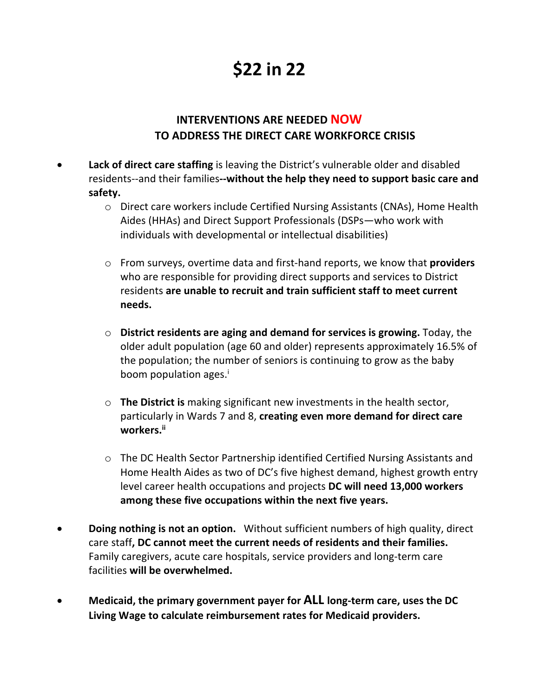## **\$22 in 22**

## **INTERVENTIONS ARE NEEDED NOW TO ADDRESS THE DIRECT CARE WORKFORCE CRISIS**

- **Lack of direct care staffing** is leaving the District's vulnerable older and disabled residents--and their families**--without the help they need to support basic care and safety.**
	- o Direct care workers include Certified Nursing Assistants (CNAs), Home Health Aides (HHAs) and Direct Support Professionals (DSPs—who work with individuals with developmental or intellectual disabilities)
	- o From surveys, overtime data and first-hand reports, we know that **providers** who are responsible for providing direct supports and services to District residents **are unable to recruit and train sufficient staff to meet current needs.**
	- o **District residents are aging and demand for services is growing.** Today, the older adult population (age 60 and older) represents approximately 16.5% of the population; the number of seniors is continuing to grow as the baby boom population ages.<sup>i</sup>
	- o **The District is** making significant new investments in the health sector, particularly in Wards 7 and 8, **creating even more demand for direct care workers.ii**
	- o The DC Health Sector Partnership identified Certified Nursing Assistants and Home Health Aides as two of DC's five highest demand, highest growth entry level career health occupations and projects **DC will need 13,000 workers among these five occupations within the next five years.**
- **Doing nothing is not an option.** Without sufficient numbers of high quality, direct care staff**, DC cannot meet the current needs of residents and their families.**  Family caregivers, acute care hospitals, service providers and long-term care facilities **will be overwhelmed.**
- **Medicaid, the primary government payer for ALL long-term care, uses the DC Living Wage to calculate reimbursement rates for Medicaid providers.**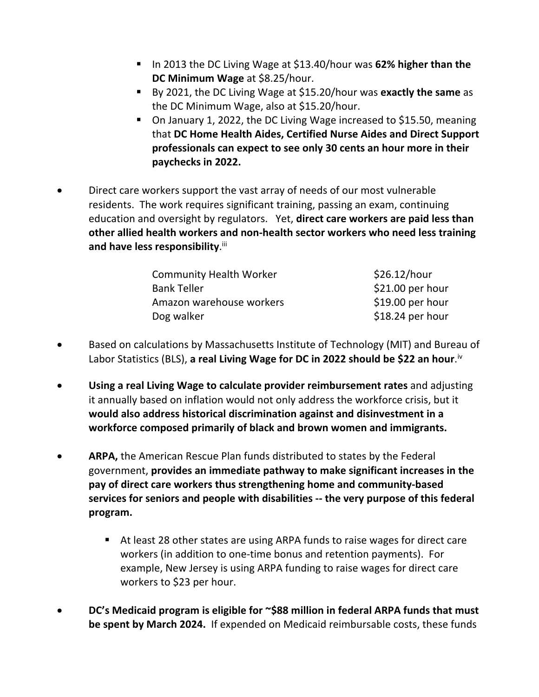- § In 2013 the DC Living Wage at \$13.40/hour was **62% higher than the DC Minimum Wage** at \$8.25/hour.
- § By 2021, the DC Living Wage at \$15.20/hour was **exactly the same** as the DC Minimum Wage, also at \$15.20/hour.
- On January 1, 2022, the DC Living Wage increased to \$15.50, meaning that **DC Home Health Aides, Certified Nurse Aides and Direct Support professionals can expect to see only 30 cents an hour more in their paychecks in 2022.**
- Direct care workers support the vast array of needs of our most vulnerable residents. The work requires significant training, passing an exam, continuing education and oversight by regulators. Yet, **direct care workers are paid less than other allied health workers and non-health sector workers who need less training**  and have less responsibility.iii

| <b>Community Health Worker</b> | \$26.12/hour      |
|--------------------------------|-------------------|
| <b>Bank Teller</b>             | $$21.00$ per hour |
| Amazon warehouse workers       | \$19.00 per hour  |
| Dog walker                     | $$18.24$ per hour |

- Based on calculations by Massachusetts Institute of Technology (MIT) and Bureau of Labor Statistics (BLS), **a real Living Wage for DC in 2022 should be \$22 an hour**. iv
- **Using a real Living Wage to calculate provider reimbursement rates** and adjusting it annually based on inflation would not only address the workforce crisis, but it **would also address historical discrimination against and disinvestment in a workforce composed primarily of black and brown women and immigrants.**
- **ARPA,** the American Rescue Plan funds distributed to states by the Federal government, **provides an immediate pathway to make significant increases in the pay of direct care workers thus strengthening home and community-based services for seniors and people with disabilities -- the very purpose of this federal program.** 
	- At least 28 other states are using ARPA funds to raise wages for direct care workers (in addition to one-time bonus and retention payments). For example, New Jersey is using ARPA funding to raise wages for direct care workers to \$23 per hour.
- **DC's Medicaid program is eligible for ~\$88 million in federal ARPA funds that must be spent by March 2024.** If expended on Medicaid reimbursable costs, these funds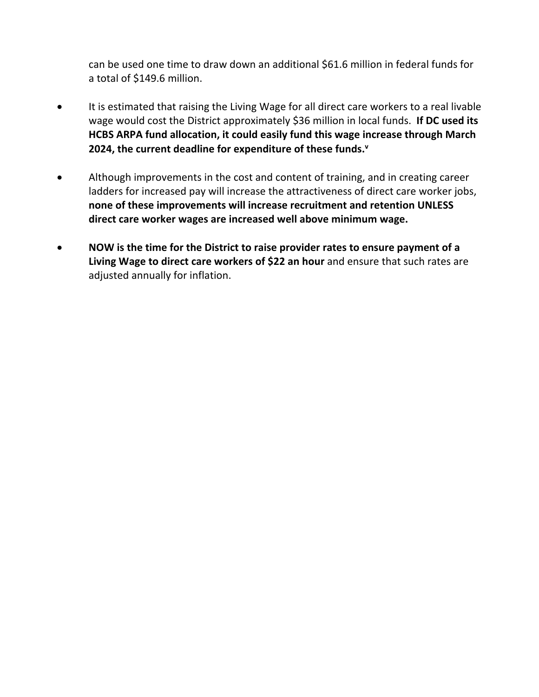can be used one time to draw down an additional \$61.6 million in federal funds for a total of \$149.6 million.

- It is estimated that raising the Living Wage for all direct care workers to a real livable wage would cost the District approximately \$36 million in local funds. **If DC used its HCBS ARPA fund allocation, it could easily fund this wage increase through March 2024, the current deadline for expenditure of these funds.v**
- Although improvements in the cost and content of training, and in creating career ladders for increased pay will increase the attractiveness of direct care worker jobs, **none of these improvements will increase recruitment and retention UNLESS direct care worker wages are increased well above minimum wage.**
- **NOW is the time for the District to raise provider rates to ensure payment of a Living Wage to direct care workers of \$22 an hour** and ensure that such rates are adjusted annually for inflation.